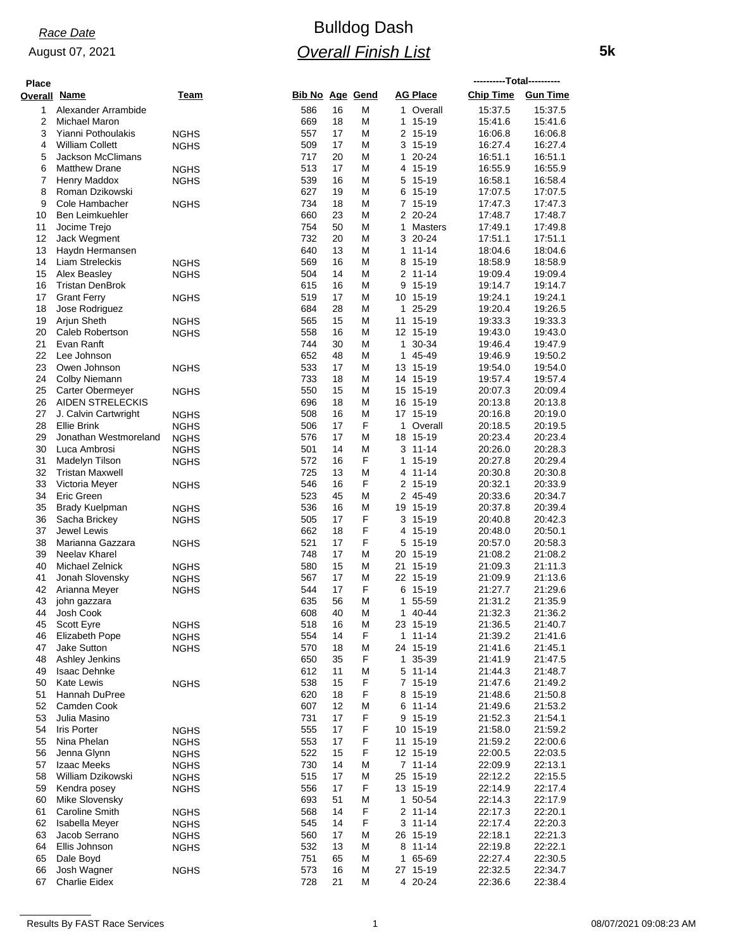### August 07, 2021

# Bulldog Dash *Overall Finish List*

| <b>Place</b>        |                                                  |                            |                        |          |        |                             | ----------Total---------- |                    |
|---------------------|--------------------------------------------------|----------------------------|------------------------|----------|--------|-----------------------------|---------------------------|--------------------|
| <b>Overall Name</b> |                                                  | Team                       | <b>Bib No Age Gend</b> |          |        | <b>AG Place</b>             | <b>Chip Time</b>          | <b>Gun Time</b>    |
| 1                   | Alexander Arrambide                              |                            | 586                    | 16       | M      | 1 Overall                   | 15:37.5                   | 15:37.5            |
| 2                   | <b>Michael Maron</b>                             |                            | 669                    | 18       | M      | $15 - 19$<br>1              | 15:41.6                   | 15:41.6            |
| 3                   | Yianni Pothoulakis                               | <b>NGHS</b>                | 557                    | 17       | M      | 2 15-19                     | 16:06.8                   | 16:06.8            |
| 4                   | <b>William Collett</b>                           | <b>NGHS</b>                | 509                    | 17       | Μ      | 3 15-19                     | 16:27.4                   | 16:27.4            |
| 5<br>6              | <b>Jackson McClimans</b><br><b>Matthew Drane</b> | <b>NGHS</b>                | 717<br>513             | 20<br>17 | M<br>M | 20-24<br>1<br>4 15-19       | 16:51.1<br>16:55.9        | 16:51.1<br>16:55.9 |
| 7                   | Henry Maddox                                     | <b>NGHS</b>                | 539                    | 16       | M      | 15-19<br>5                  | 16:58.1                   | 16:58.4            |
| 8                   | Roman Dzikowski                                  |                            | 627                    | 19       | M      | $15 - 19$<br>6              | 17:07.5                   | 17:07.5            |
| 9                   | Cole Hambacher                                   | <b>NGHS</b>                | 734                    | 18       | М      | 7 15-19                     | 17:47.3                   | 17:47.3            |
| 10                  | Ben Leimkuehler                                  |                            | 660                    | 23       | M      | 2 20-24                     | 17:48.7                   | 17:48.7            |
| 11                  | Jocime Trejo                                     |                            | 754                    | 50       | M      | Masters<br>1                | 17:49.1                   | 17:49.8            |
| 12<br>13            | Jack Wegment<br>Haydn Hermansen                  |                            | 732<br>640             | 20<br>13 | Μ<br>M | 3 20-24<br>$11 - 14$<br>1   | 17:51.1<br>18:04.6        | 17:51.1<br>18:04.6 |
| 14                  | Liam Streleckis                                  | <b>NGHS</b>                | 569                    | 16       | Μ      | 8 15-19                     | 18:58.9                   | 18:58.9            |
| 15                  | Alex Beasley                                     | <b>NGHS</b>                | 504                    | 14       | M      | 2<br>11-14                  | 19:09.4                   | 19:09.4            |
| 16                  | <b>Tristan DenBrok</b>                           |                            | 615                    | 16       | Μ      | 9<br>15-19                  | 19:14.7                   | 19:14.7            |
| 17                  | <b>Grant Ferry</b>                               | <b>NGHS</b>                | 519                    | 17       | М      | 10 15-19                    | 19:24.1                   | 19:24.1            |
| 18                  | Jose Rodriguez                                   |                            | 684                    | 28       | M      | 25-29<br>1.                 | 19:20.4                   | 19:26.5            |
| 19                  | Arjun Sheth                                      | <b>NGHS</b>                | 565                    | 15       | M      | 15-19<br>11                 | 19:33.3                   | 19:33.3            |
| 20<br>21            | Caleb Robertson<br>Evan Ranft                    | <b>NGHS</b>                | 558<br>744             | 16<br>30 | M<br>M | 12 15-19<br>30-34<br>1      | 19:43.0<br>19:46.4        | 19:43.0<br>19:47.9 |
| 22                  | Lee Johnson                                      |                            | 652                    | 48       | M      | 45-49<br>1.                 | 19:46.9                   | 19:50.2            |
| 23                  | Owen Johnson                                     | <b>NGHS</b>                | 533                    | 17       | M      | 13 15-19                    | 19:54.0                   | 19:54.0            |
| 24                  | <b>Colby Niemann</b>                             |                            | 733                    | 18       | M      | 14 15-19                    | 19:57.4                   | 19:57.4            |
| 25                  | Carter Obermeyer                                 | NGHS                       | 550                    | 15       | М      | 15 15-19                    | 20:07.3                   | 20:09.4            |
| 26                  | AIDEN STRELECKIS                                 |                            | 696                    | 18       | M      | 16 15-19                    | 20:13.8                   | 20:13.8            |
| 27                  | J. Calvin Cartwright                             | <b>NGHS</b>                | 508                    | 16       | M      | 17 15-19                    | 20:16.8                   | 20:19.0            |
| 28<br>29            | <b>Ellie Brink</b><br>Jonathan Westmoreland      | <b>NGHS</b>                | 506<br>576             | 17<br>17 | F<br>M | 1<br>Overall<br>15-19<br>18 | 20:18.5<br>20:23.4        | 20:19.5<br>20:23.4 |
| 30                  | Luca Ambrosi                                     | <b>NGHS</b><br><b>NGHS</b> | 501                    | 14       | M      | $3 11 - 14$                 | 20:26.0                   | 20:28.3            |
| 31                  | Madelyn Tilson                                   | <b>NGHS</b>                | 572                    | 16       | F      | 15-19<br>1                  | 20:27.8                   | 20:29.4            |
| 32                  | <b>Tristan Maxwell</b>                           |                            | 725                    | 13       | M      | 11-14<br>4                  | 20:30.8                   | 20:30.8            |
| 33                  | Victoria Meyer                                   | <b>NGHS</b>                | 546                    | 16       | F      | 2 15-19                     | 20:32.1                   | 20:33.9            |
| 34                  | Eric Green                                       |                            | 523                    | 45       | M      | 2 45-49                     | 20:33.6                   | 20:34.7            |
| 35                  | <b>Brady Kuelpman</b>                            | <b>NGHS</b>                | 536                    | 16       | M      | 15-19<br>19                 | 20:37.8                   | 20:39.4            |
| 36<br>37            | Sacha Brickey<br>Jewel Lewis                     | <b>NGHS</b>                | 505<br>662             | 17<br>18 | F<br>F | 3 15-19<br>15-19<br>4       | 20:40.8<br>20:48.0        | 20:42.3<br>20:50.1 |
| 38                  | Marianna Gazzara                                 | <b>NGHS</b>                | 521                    | 17       | F      | 15-19<br>5                  | 20:57.0                   | 20:58.3            |
| 39                  | Neelay Kharel                                    |                            | 748                    | 17       | M      | 20 15-19                    | 21:08.2                   | 21:08.2            |
| 40                  | Michael Zelnick                                  | <b>NGHS</b>                | 580                    | 15       | M      | 21 15-19                    | 21:09.3                   | 21:11.3            |
| 41                  | Jonah Slovensky                                  | <b>NGHS</b>                | 567                    | 17       | M      | 22 15-19                    | 21:09.9                   | 21:13.6            |
| 42                  | Arianna Meyer                                    | <b>NGHS</b>                | 544                    | 17       | F      | 15-19<br>6                  | 21:27.7                   | 21:29.6            |
| 43<br>44            | john gazzara                                     |                            | 635                    | 56<br>40 | M<br>M | 55-59<br>1<br>1.<br>40-44   | 21:31.2                   | 21:35.9<br>21:36.2 |
| 45                  | Josh Cook<br>Scott Eyre                          | <b>NGHS</b>                | 608<br>518             | 16       | M      | 23 15-19                    | 21:32.3<br>21:36.5        | 21:40.7            |
| 46                  | Elizabeth Pope                                   | <b>NGHS</b>                | 554                    | 14       | F      | $1 11 - 14$                 | 21:39.2                   | 21:41.6            |
| 47                  | Jake Sutton                                      | <b>NGHS</b>                | 570                    | 18       | M      | 24 15-19                    | 21:41.6                   | 21:45.1            |
| 48                  | Ashley Jenkins                                   |                            | 650                    | 35       | F      | 35-39<br>1                  | 21:41.9                   | 21:47.5            |
| 49                  | <b>Isaac Dehnke</b>                              |                            | 612                    | 11       | M      | $5 11 - 14$                 | 21:44.3                   | 21:48.7            |
| 50<br>51            | <b>Kate Lewis</b>                                | <b>NGHS</b>                | 538<br>620             | 15<br>18 | F<br>F | 7 15-19<br>15-19            | 21:47.6<br>21:48.6        | 21:49.2<br>21:50.8 |
| 52                  | Hannah DuPree<br>Camden Cook                     |                            | 607                    | 12       | Μ      | 8<br>$11 - 14$<br>6         | 21:49.6                   | 21:53.2            |
| 53                  | Julia Masino                                     |                            | 731                    | 17       | F      | 15-19<br>9                  | 21:52.3                   | 21:54.1            |
| 54                  | <b>Iris Porter</b>                               | <b>NGHS</b>                | 555                    | 17       | F      | 10 15-19                    | 21:58.0                   | 21:59.2            |
| 55                  | Nina Phelan                                      | NGHS                       | 553                    | 17       | F      | 11 15-19                    | 21:59.2                   | 22:00.6            |
| 56                  | Jenna Glynn                                      | <b>NGHS</b>                | 522                    | 15       | F      | 12 15-19                    | 22:00.5                   | 22:03.5            |
| 57                  | Izaac Meeks                                      | <b>NGHS</b>                | 730                    | 14       | Μ      | $7 11 - 14$                 | 22:09.9                   | 22:13.1            |
| 58                  | William Dzikowski                                | <b>NGHS</b>                | 515<br>556             | 17<br>17 | M<br>F | 15-19<br>25<br>13 15-19     | 22:12.2<br>22:14.9        | 22:15.5<br>22:17.4 |
| 59<br>60            | Kendra posey<br>Mike Slovensky                   | <b>NGHS</b>                | 693                    | 51       | M      | 1 50-54                     | 22:14.3                   | 22:17.9            |
| 61                  | Caroline Smith                                   | <b>NGHS</b>                | 568                    | 14       | F      | 2 11-14                     | 22:17.3                   | 22:20.1            |
| 62                  | <b>Isabella Meyer</b>                            | <b>NGHS</b>                | 545                    | 14       | F      | $3 11 - 14$                 | 22:17.4                   | 22:20.3            |
| 63                  | Jacob Serrano                                    | <b>NGHS</b>                | 560                    | 17       | Μ      | 26 15-19                    | 22:18.1                   | 22:21.3            |
| 64                  | Ellis Johnson                                    | <b>NGHS</b>                | 532                    | 13       | Μ      | $11 - 14$<br>8              | 22:19.8                   | 22:22.1            |
| 65                  | Dale Boyd                                        |                            | 751                    | 65       | Μ      | 65-69<br>1                  | 22:27.4                   | 22:30.5            |
| 66<br>67            | Josh Wagner<br><b>Charlie Eidex</b>              | <b>NGHS</b>                | 573<br>728             | 16<br>21 | M<br>M | 27 15-19<br>4 20-24         | 22:32.5<br>22:36.6        | 22:34.7<br>22:38.4 |
|                     |                                                  |                            |                        |          |        |                             |                           |                    |

 **5k**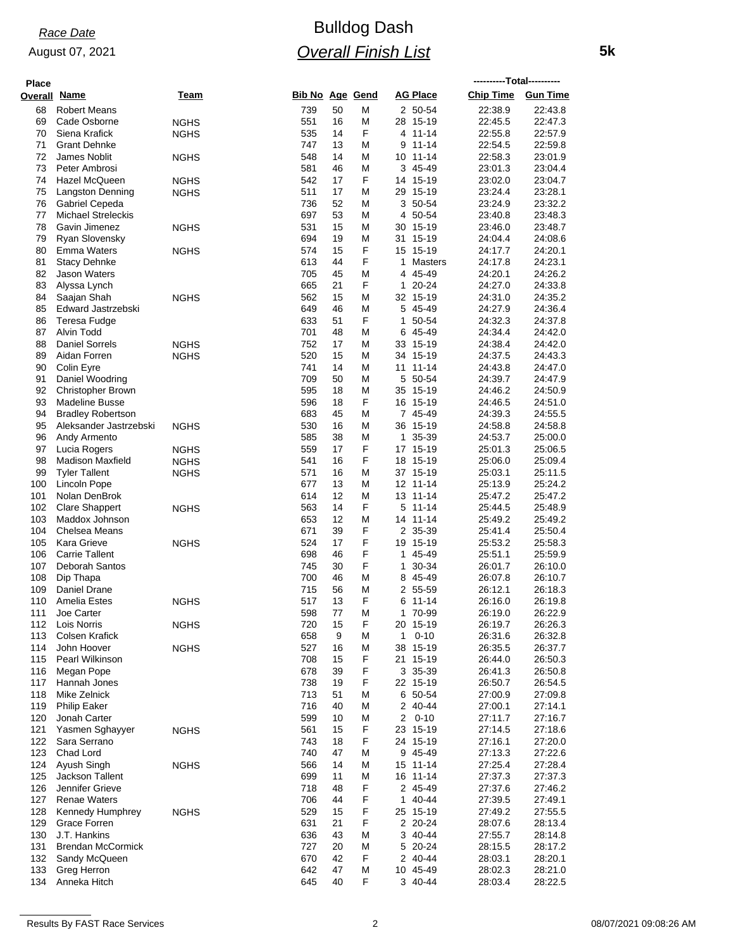August 07, 2021

### **Place**

### Bulldog Dash *Overall Finish List*

| <b>Place</b>        |                                        |             |                        |          |        |                             | ----------Total---------- |                    |
|---------------------|----------------------------------------|-------------|------------------------|----------|--------|-----------------------------|---------------------------|--------------------|
| <b>Overall Name</b> |                                        | Team        | <b>Bib No Age Gend</b> |          |        | <b>AG Place</b>             | Chip Time Gun Time        |                    |
| 68                  | <b>Robert Means</b>                    |             | 739                    | 50       | M      | 2 50-54                     | 22:38.9                   | 22:43.8            |
| 69                  | Cade Osborne                           | <b>NGHS</b> | 551                    | 16       | M      | 28 15-19                    | 22:45.5                   | 22:47.3            |
| 70                  | Siena Krafick                          | <b>NGHS</b> | 535                    | 14       | F      | 4 11-14                     | 22:55.8                   | 22:57.9            |
| 71<br>72            | <b>Grant Dehnke</b><br>James Noblit    |             | 747<br>548             | 13<br>14 | M<br>M | $11 - 14$<br>9<br>10 11-14  | 22.54.5<br>22:58.3        | 22:59.8<br>23:01.9 |
| 73                  | Peter Ambrosi                          | <b>NGHS</b> | 581                    | 46       | M      | 3 45-49                     | 23:01.3                   | 23:04.4            |
| 74                  | Hazel McQueen                          | <b>NGHS</b> | 542                    | 17       | F      | 14 15-19                    | 23:02.0                   | 23:04.7            |
| 75                  | <b>Langston Denning</b>                | <b>NGHS</b> | 511                    | 17       | M      | 29 15-19                    | 23:24.4                   | 23:28.1            |
| 76                  | Gabriel Cepeda                         |             | 736                    | 52       | M      | 3<br>50-54                  | 23:24.9                   | 23:32.2            |
| 77                  | <b>Michael Streleckis</b>              |             | 697                    | 53       | Μ      | 50-54<br>4                  | 23:40.8                   | 23:48.3            |
| 78<br>79            | Gavin Jimenez<br>Ryan Slovensky        | <b>NGHS</b> | 531<br>694             | 15<br>19 | M<br>M | 30 15-19<br>15-19<br>31     | 23:46.0                   | 23:48.7            |
| 80                  | <b>Emma Waters</b>                     | <b>NGHS</b> | 574                    | 15       | F      | 15-19<br>15                 | 24:04.4<br>24:17.7        | 24:08.6<br>24:20.1 |
| 81                  | <b>Stacy Dehnke</b>                    |             | 613                    | 44       | F      | 1<br>Masters                | 24:17.8                   | 24:23.1            |
| 82                  | <b>Jason Waters</b>                    |             | 705                    | 45       | M      | 45-49<br>4                  | 24:20.1                   | 24:26.2            |
| 83                  | Alyssa Lynch                           |             | 665                    | 21       | F      | 20-24<br>1                  | 24:27.0                   | 24:33.8            |
| 84                  | Saajan Shah                            | <b>NGHS</b> | 562                    | 15       | Μ      | 32 15-19                    | 24:31.0                   | 24:35.2            |
| 85                  | Edward Jastrzebski                     |             | 649                    | 46       | Μ      | 45-49<br>5                  | 24:27.9                   | 24:36.4            |
| 86<br>87            | Teresa Fudge<br>Alvin Todd             |             | 633<br>701             | 51<br>48 | F      | 50-54<br>1<br>45-49         | 24:32.3<br>24:34.4        | 24:37.8<br>24:42.0 |
| 88                  | <b>Daniel Sorrels</b>                  | <b>NGHS</b> | 752                    | 17       | M<br>M | 6<br>15-19<br>33            | 24:38.4                   | 24:42.0            |
| 89                  | Aidan Forren                           | <b>NGHS</b> | 520                    | 15       | Μ      | 34 15-19                    | 24:37.5                   | 24:43.3            |
| 90                  | Colin Eyre                             |             | 741                    | 14       | M      | $11 - 14$<br>11             | 24:43.8                   | 24:47.0            |
| 91                  | Daniel Woodring                        |             | 709                    | 50       | M      | 5 50-54                     | 24:39.7                   | 24:47.9            |
| 92                  | <b>Christopher Brown</b>               |             | 595                    | 18       | M      | 35 15-19                    | 24:46.2                   | 24:50.9            |
| 93                  | <b>Madeline Busse</b>                  |             | 596                    | 18       | F      | 15-19<br>16                 | 24:46.5                   | 24:51.0            |
| 94                  | <b>Bradley Robertson</b>               |             | 683                    | 45       | M      | 7 45-49                     | 24:39.3                   | 24:55.5            |
| 95<br>96            | Aleksander Jastrzebski<br>Andy Armento | <b>NGHS</b> | 530<br>585             | 16<br>38 | M<br>M | 36 15-19<br>35-39<br>1      | 24:58.8<br>24:53.7        | 24:58.8<br>25:00.0 |
| 97                  | Lucia Rogers                           | <b>NGHS</b> | 559                    | 17       | F      | 17 15-19                    | 25:01.3                   | 25:06.5            |
| 98                  | <b>Madison Maxfield</b>                | <b>NGHS</b> | 541                    | 16       | F      | 15-19<br>18                 | 25:06.0                   | 25:09.4            |
| 99                  | <b>Tyler Tallent</b>                   | <b>NGHS</b> | 571                    | 16       | M      | 37 15-19                    | 25:03.1                   | 25:11.5            |
| 100                 | Lincoln Pope                           |             | 677                    | 13       | M      | 12 11-14                    | 25:13.9                   | 25:24.2            |
| 101                 | Nolan DenBrok                          |             | 614                    | 12       | M      | 11-14<br>13                 | 25:47.2                   | 25:47.2            |
| 102                 | <b>Clare Shappert</b>                  | <b>NGHS</b> | 563                    | 14       | F      | 5<br>11-14                  | 25:44.5                   | 25:48.9            |
| 103<br>104          | Maddox Johnson<br>Chelsea Means        |             | 653<br>671             | 12<br>39 | M<br>F | 14 11-14<br>2 35-39         | 25:49.2<br>25:41.4        | 25:49.2<br>25:50.4 |
| 105                 | Kara Grieve                            | <b>NGHS</b> | 524                    | 17       | F      | 19 15-19                    | 25:53.2                   | 25:58.3            |
| 106                 | <b>Carrie Tallent</b>                  |             | 698                    | 46       | F      | 45-49<br>1                  | 25:51.1                   | 25:59.9            |
| 107                 | Deborah Santos                         |             | 745                    | 30       | F      | 30-34<br>1                  | 26:01.7                   | 26:10.0            |
| 108                 | Dip Thapa                              |             | 700                    | 46       | M      | 45-49<br>8                  | 26:07.8                   | 26:10.7            |
| 109                 | Daniel Drane                           |             | 715                    | 56       | M      | 2 55-59                     | 26:12.1                   | 26:18.3            |
| 110                 | Amelia Estes                           | NGHS        | 517                    | 13       | F      | 11-14<br>6                  | 26:16.0                   | 26:19.8            |
| 111<br>112          | Joe Carter<br>Lois Norris              |             | 598<br>720             | 77<br>15 | M<br>F | 1 70-99<br>20 15-19         | 26:19.0<br>26:19.7        | 26:22.9<br>26:26.3 |
| 113                 | Colsen Krafick                         | <b>NGHS</b> | 658                    | 9        | Μ      | $0 - 10$<br>1               | 26:31.6                   | 26:32.8            |
| 114                 | John Hoover                            | NGHS        | 527                    | 16       | M      | 15-19<br>38                 | 26:35.5                   | 26:37.7            |
| 115                 | Pearl Wilkinson                        |             | 708                    | 15       | F      | 21 15-19                    | 26:44.0                   | 26:50.3            |
| 116                 | Megan Pope                             |             | 678                    | 39       | F      | 3 35-39                     | 26:41.3                   | 26:50.8            |
| 117                 | Hannah Jones                           |             | 738                    | 19       | F      | 22 15-19                    | 26:50.7                   | 26:54.5            |
| 118                 | Mike Zelnick                           |             | 713                    | 51       | M      | 6 50-54                     | 27:00.9                   | 27:09.8            |
| 119<br>120          | <b>Philip Eaker</b><br>Jonah Carter    |             | 716<br>599             | 40<br>10 | M<br>M | 40-44<br>2<br>2<br>$0 - 10$ | 27:00.1<br>27:11.7        | 27:14.1<br>27:16.7 |
| 121                 | Yasmen Sghayyer                        | <b>NGHS</b> | 561                    | 15       | F      | 23 15-19                    | 27:14.5                   | 27:18.6            |
| 122                 | Sara Serrano                           |             | 743                    | 18       | F      | 24 15-19                    | 27:16.1                   | 27:20.0            |
| 123                 | Chad Lord                              |             | 740                    | 47       | M      | 9 45-49                     | 27:13.3                   | 27:22.6            |
| 124                 | Ayush Singh                            | <b>NGHS</b> | 566                    | 14       | M      | 15 11-14                    | 27:25.4                   | 27:28.4            |
| 125                 | Jackson Tallent                        |             | 699                    | 11       | Μ      | 11-14<br>16                 | 27:37.3                   | 27:37.3            |
| 126                 | Jennifer Grieve                        |             | 718                    | 48       | F      | 2 45-49                     | 27:37.6                   | 27:46.2            |
| 127                 | <b>Renae Waters</b>                    |             | 706                    | 44       | F      | 40-44<br>1                  | 27:39.5                   | 27:49.1            |
| 128<br>129          | Kennedy Humphrey<br>Grace Forren       | <b>NGHS</b> | 529<br>631             | 15<br>21 | F<br>F | 25 15-19<br>2 20-24         | 27:49.2<br>28:07.6        | 27:55.5<br>28:13.4 |
| 130                 | J.T. Hankins                           |             | 636                    | 43       | M      | 40-44<br>3                  | 27:55.7                   | 28:14.8            |
| 131                 | <b>Brendan McCormick</b>               |             | 727                    | 20       | M      | 20-24<br>5                  | 28:15.5                   | 28:17.2            |
| 132                 | Sandy McQueen                          |             | 670                    | 42       | F      | 40-44<br>2                  | 28:03.1                   | 28:20.1            |
| 133                 | Greg Herron                            |             | 642                    | 47       | M      | 10 45-49                    | 28:02.3                   | 28:21.0            |
| 134                 | Anneka Hitch                           |             | 645                    | 40       | F      | 3 40-44                     | 28:03.4                   | 28:22.5            |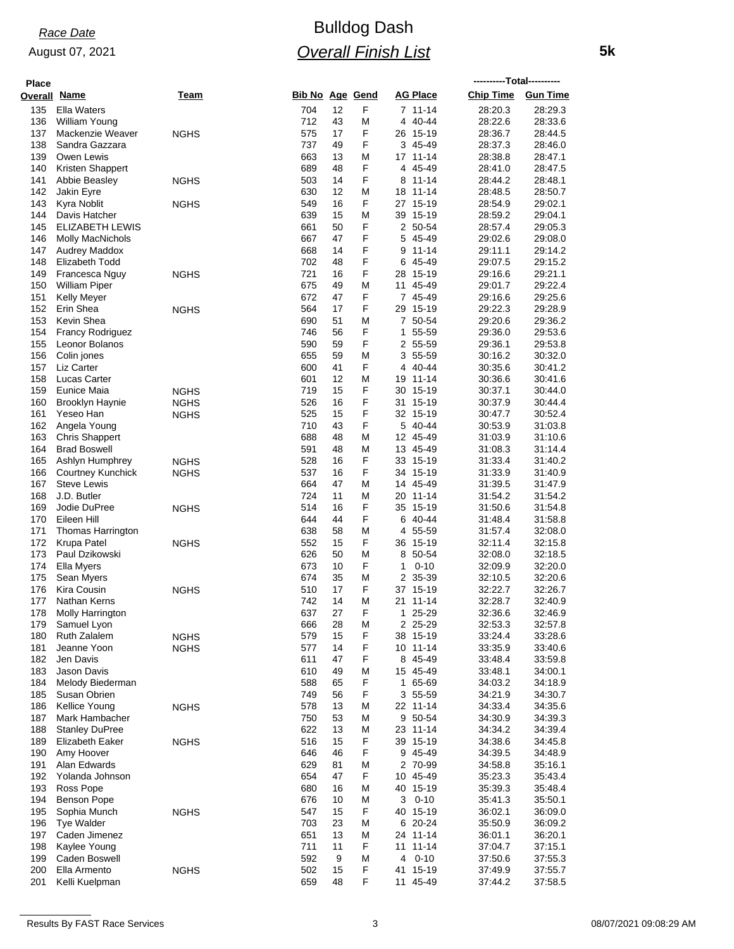### August 07, 2021

## Bulldog Dash *Overall Finish List*

| Place        |                                        |                            |                        |          |        |                            | ----------Total---------- |                    |
|--------------|----------------------------------------|----------------------------|------------------------|----------|--------|----------------------------|---------------------------|--------------------|
| Overall Name |                                        | Team                       | <b>Bib No Age Gend</b> |          |        | <b>AG Place</b>            | <b>Chip Time</b>          | <b>Gun Time</b>    |
| 135          | <b>Ella Waters</b>                     |                            | 704                    | 12       | F      | 7 11-14                    | 28:20.3                   | 28:29.3            |
| 136          | William Young                          |                            | 712                    | 43       | M      | 40-44<br>4                 | 28:22.6                   | 28:33.6            |
| 137          | Mackenzie Weaver                       | <b>NGHS</b>                | 575                    | 17       | F      | 26 15-19                   | 28:36.7                   | 28:44.5            |
| 138          | Sandra Gazzara                         |                            | 737                    | 49       | F      | 45-49<br>3                 | 28:37.3                   | 28:46.0            |
| 139          | Owen Lewis                             |                            | 663<br>689             | 13<br>48 | Μ<br>F | 17 11-14<br>4 45-49        | 28:38.8<br>28:41.0        | 28:47.1<br>28:47.5 |
| 140<br>141   | Kristen Shappert<br>Abbie Beasley      | <b>NGHS</b>                | 503                    | 14       | F      | 11-14<br>8                 | 28:44.2                   | 28:48.1            |
| 142          | Jakin Eyre                             |                            | 630                    | 12       | Μ      | 11-14<br>18                | 28:48.5                   | 28:50.7            |
| 143          | Kyra Noblit                            | <b>NGHS</b>                | 549                    | 16       | F      | 27 15-19                   | 28:54.9                   | 29:02.1            |
| 144          | Davis Hatcher                          |                            | 639                    | 15       | M      | 39<br>15-19                | 28:59.2                   | 29:04.1            |
| 145          | ELIZABETH LEWIS                        |                            | 661                    | 50       | F      | 2 50-54                    | 28:57.4                   | 29:05.3            |
| 146          | <b>Molly MacNichols</b>                |                            | 667                    | 47       | F      | 45-49<br>5                 | 29:02.6                   | 29:08.0            |
| 147          | <b>Audrey Maddox</b>                   |                            | 668                    | 14       | F      | $11 - 14$<br>9             | 29:11.1                   | 29:14.2            |
| 148          | Elizabeth Todd                         |                            | 702<br>721             | 48<br>16 | F<br>F | 45-49<br>6                 | 29:07.5                   | 29:15.2<br>29:21.1 |
| 149<br>150   | Francesca Nguy<br><b>William Piper</b> | <b>NGHS</b>                | 675                    | 49       | M      | 28<br>15-19<br>45-49<br>11 | 29:16.6<br>29:01.7        | 29:22.4            |
| 151          | Kelly Meyer                            |                            | 672                    | 47       | F      | 7 45-49                    | 29:16.6                   | 29:25.6            |
| 152          | Erin Shea                              | NGHS                       | 564                    | 17       | F      | 15-19<br>29                | 29:22.3                   | 29:28.9            |
| 153          | Kevin Shea                             |                            | 690                    | 51       | Μ      | 7 50-54                    | 29:20.6                   | 29:36.2            |
| 154          | <b>Francy Rodriguez</b>                |                            | 746                    | 56       | F      | 55-59<br>1                 | 29:36.0                   | 29:53.6            |
| 155          | Leonor Bolanos                         |                            | 590                    | 59       | F      | 2 55-59                    | 29:36.1                   | 29:53.8            |
| 156          | Colin jones                            |                            | 655                    | 59       | Μ      | 55-59<br>3                 | 30:16.2                   | 30:32.0            |
| 157          | Liz Carter                             |                            | 600                    | 41       | F      | 40-44<br>4                 | 30:35.6                   | 30:41.2            |
| 158<br>159   | Lucas Carter<br>Eunice Maia            |                            | 601<br>719             | 12<br>15 | M<br>F | 11-14<br>19<br>30 15-19    | 30:36.6<br>30:37.1        | 30:41.6<br>30:44.0 |
| 160          | <b>Brooklyn Haynie</b>                 | <b>NGHS</b><br><b>NGHS</b> | 526                    | 16       | F      | 31 15-19                   | 30:37.9                   | 30:44.4            |
| 161          | Yeseo Han                              | <b>NGHS</b>                | 525                    | 15       | F      | 32 15-19                   | 30:47.7                   | 30:52.4            |
| 162          | Angela Young                           |                            | 710                    | 43       | F      | 40-44<br>5                 | 30:53.9                   | 31:03.8            |
| 163          | <b>Chris Shappert</b>                  |                            | 688                    | 48       | Μ      | 12 45-49                   | 31:03.9                   | 31:10.6            |
| 164          | <b>Brad Boswell</b>                    |                            | 591                    | 48       | Μ      | 13 45-49                   | 31:08.3                   | 31:14.4            |
| 165          | Ashlyn Humphrey                        | <b>NGHS</b>                | 528                    | 16       | F      | 33 15-19                   | 31:33.4                   | 31:40.2            |
| 166          | Courtney Kunchick                      | <b>NGHS</b>                | 537                    | 16       | F      | 34 15-19                   | 31:33.9                   | 31:40.9            |
| 167<br>168   | <b>Steve Lewis</b><br>J.D. Butler      |                            | 664<br>724             | 47<br>11 | Μ<br>M | 14 45-49<br>20 11-14       | 31:39.5<br>31:54.2        | 31:47.9<br>31:54.2 |
| 169          | Jodie DuPree                           | <b>NGHS</b>                | 514                    | 16       | F      | 35 15-19                   | 31:50.6                   | 31:54.8            |
| 170          | Eileen Hill                            |                            | 644                    | 44       | F      | 40-44<br>6                 | 31:48.4                   | 31:58.8            |
| 171          | Thomas Harrington                      |                            | 638                    | 58       | Μ      | 55-59<br>4                 | 31:57.4                   | 32:08.0            |
| 172          | Krupa Patel                            | NGHS                       | 552                    | 15       | F      | 36 15-19                   | 32:11.4                   | 32:15.8            |
| 173          | Paul Dzikowski                         |                            | 626                    | 50       | Μ      | 8<br>50-54                 | 32:08.0                   | 32:18.5            |
| 174          | Ella Myers                             |                            | 673                    | 10       | F      | $0 - 10$<br>1              | 32:09.9                   | 32:20.0            |
| 175          | Sean Myers                             |                            | 674                    | 35       | Μ      | 2 35-39                    | 32:10.5                   | 32:20.6            |
| 176<br>177   | Kira Cousin<br>Nathan Kerns            | <b>NGHS</b>                | 510<br>742             | 17<br>14 | F<br>М | 37<br>15-19<br>21 11-14    | 32:22.7<br>32:28.7        | 32:26.7<br>32:40.9 |
| 178          | Molly Harrington                       |                            | 637                    | 27       | ۲.     | 1<br>25-29                 | 32.36.6                   | 32:46.9            |
| 179          | Samuel Lyon                            |                            | 666                    | 28       | M      | 2 25-29                    | 32:53.3                   | 32:57.8            |
| 180          | Ruth Zalalem                           | <b>NGHS</b>                | 579                    | 15       | F      | 38 15-19                   | 33:24.4                   | 33:28.6            |
| 181          | Jeanne Yoon                            | <b>NGHS</b>                | 577                    | 14       | F      | 10 11-14                   | 33:35.9                   | 33:40.6            |
| 182          | Jen Davis                              |                            | 611                    | 47       | F      | 45-49<br>8                 | 33:48.4                   | 33:59.8            |
| 183          | Jason Davis                            |                            | 610                    | 49       | Μ      | 15 45-49                   | 33:48.1                   | 34:00.1            |
| 184          | Melody Biederman<br>Susan Obrien       |                            | 588                    | 65       | F      | 65-69<br>1                 | 34:03.2                   | 34:18.9            |
| 185<br>186   | Kellice Young                          | <b>NGHS</b>                | 749<br>578             | 56<br>13 | F<br>Μ | 55-59<br>3<br>22 11-14     | 34:21.9<br>34:33.4        | 34:30.7<br>34:35.6 |
| 187          | Mark Hambacher                         |                            | 750                    | 53       | Μ      | 50-54<br>9                 | 34:30.9                   | 34:39.3            |
| 188          | <b>Stanley DuPree</b>                  |                            | 622                    | 13       | Μ      | 23 11-14                   | 34:34.2                   | 34:39.4            |
| 189          | <b>Elizabeth Eaker</b>                 | <b>NGHS</b>                | 516                    | 15       | F      | 39 15-19                   | 34:38.6                   | 34:45.8            |
| 190          | Amy Hoover                             |                            | 646                    | 46       | F      | 9 45-49                    | 34:39.5                   | 34:48.9            |
| 191          | Alan Edwards                           |                            | 629                    | 81       | Μ      | 2 70-99                    | 34:58.8                   | 35:16.1            |
| 192          | Yolanda Johnson                        |                            | 654                    | 47       | F      | 10 45-49                   | 35:23.3                   | 35:43.4            |
| 193          | Ross Pope                              |                            | 680                    | 16       | Μ      | 40 15-19                   | 35:39.3                   | 35:48.4            |
| 194<br>195   | Benson Pope<br>Sophia Munch            | <b>NGHS</b>                | 676<br>547             | 10<br>15 | Μ<br>F | 3<br>$0 - 10$<br>40 15-19  | 35:41.3<br>36:02.1        | 35:50.1<br>36:09.0 |
| 196          | <b>Tye Walder</b>                      |                            | 703                    | 23       | Μ      | 6 20-24                    | 35:50.9                   | 36:09.2            |
| 197          | Caden Jimenez                          |                            | 651                    | 13       | Μ      | 24 11-14                   | 36:01.1                   | 36:20.1            |
| 198          | Kaylee Young                           |                            | 711                    | 11       | F      | $11 - 14$<br>11            | 37:04.7                   | 37:15.1            |
| 199          | Caden Boswell                          |                            | 592                    | 9        | Μ      | $0 - 10$<br>4              | 37:50.6                   | 37:55.3            |
| 200          | Ella Armento                           | <b>NGHS</b>                | 502                    | 15       | F      | 15-19<br>41                | 37:49.9                   | 37:55.7            |
| 201          | Kelli Kuelpman                         |                            | 659                    | 48       | F      | 11 45-49                   | 37:44.2                   | 37:58.5            |